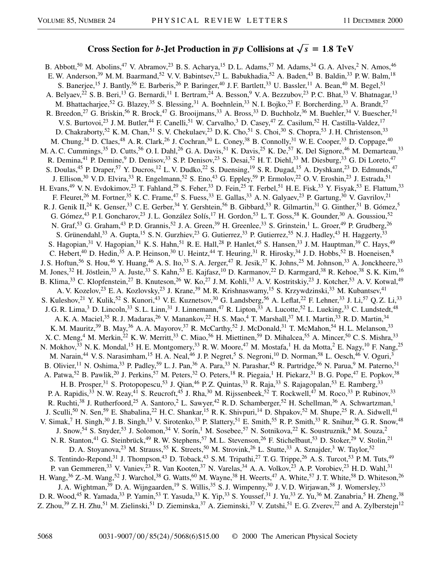## **Cross Section for** *b***-Jet Production in**  $\overline{p}p$  Collisions at  $\sqrt{s} = 1.8 \text{ TeV}$

B. Abbott,<sup>50</sup> M. Abolins,<sup>47</sup> V. Abramov,<sup>23</sup> B. S. Acharya,<sup>15</sup> D. L. Adams,<sup>57</sup> M. Adams,<sup>34</sup> G. A. Alves,<sup>2</sup> N. Amos,<sup>46</sup> E. W. Anderson,<sup>39</sup> M. M. Baarmand,<sup>52</sup> V. V. Babintsev,<sup>23</sup> L. Babukhadia,<sup>52</sup> A. Baden,<sup>43</sup> B. Baldin,<sup>33</sup> P. W. Balm,<sup>18</sup> S. Banerjee,<sup>15</sup> J. Bantly,<sup>56</sup> E. Barberis,<sup>26</sup> P. Baringer,<sup>40</sup> J. F. Bartlett,<sup>33</sup> U. Bassler,<sup>11</sup> A. Bean,<sup>40</sup> M. Begel,<sup>51</sup> A. Belyaev,<sup>22</sup> S. B. Beri,<sup>13</sup> G. Bernardi,<sup>11</sup> I. Bertram,<sup>24</sup> A. Besson,<sup>9</sup> V. A. Bezzubov,<sup>23</sup> P. C. Bhat,<sup>33</sup> V. Bhatnagar,<sup>13</sup> M. Bhattacharjee,<sup>52</sup> G. Blazey,<sup>35</sup> S. Blessing,<sup>31</sup> A. Boehnlein,<sup>33</sup> N. I. Bojko,<sup>23</sup> F. Borcherding,<sup>33</sup> A. Brandt,<sup>57</sup> R. Breedon,<sup>27</sup> G. Briskin,<sup>56</sup> R. Brock,<sup>47</sup> G. Brooijmans,<sup>33</sup> A. Bross,<sup>33</sup> D. Buchholz,<sup>36</sup> M. Buehler,<sup>34</sup> V. Buescher,<sup>51</sup> V. S. Burtovoi,<sup>23</sup> J. M. Butler,<sup>44</sup> F. Canelli,<sup>51</sup> W. Carvalho,<sup>3</sup> D. Casey,<sup>47</sup> Z. Casilum,<sup>52</sup> H. Castilla-Valdez,<sup>17</sup> D. Chakraborty,<sup>52</sup> K. M. Chan,<sup>51</sup> S. V. Chekulaev,<sup>23</sup> D. K. Cho,<sup>51</sup> S. Choi,<sup>30</sup> S. Chopra,<sup>53</sup> J. H. Christenson,<sup>33</sup> M. Chung,<sup>34</sup> D. Claes,<sup>48</sup> A. R. Clark,<sup>26</sup> J. Cochran,<sup>30</sup> L. Coney,<sup>38</sup> B. Connolly,<sup>31</sup> W. E. Cooper,<sup>33</sup> D. Coppage,<sup>40</sup> M. A. C. Cummings,<sup>35</sup> D. Cutts,<sup>56</sup> O. I. Dahl,<sup>26</sup> G. A. Davis,<sup>51</sup> K. Davis,<sup>25</sup> K. De,<sup>57</sup> K. Del Signore,<sup>46</sup> M. Demarteau,<sup>33</sup> R. Demina,<sup>41</sup> P. Demine,<sup>9</sup> D. Denisov,<sup>33</sup> S. P. Denisov,<sup>23</sup> S. Desai,<sup>52</sup> H. T. Diehl,<sup>33</sup> M. Diesburg,<sup>33</sup> G. Di Loreto,<sup>47</sup> S. Doulas,<sup>45</sup> P. Draper,<sup>57</sup> Y. Ducros,<sup>12</sup> L. V. Dudko,<sup>22</sup> S. Duensing,<sup>19</sup> S. R. Dugad,<sup>15</sup> A. Dyshkant,<sup>23</sup> D. Edmunds,<sup>47</sup> J. Ellison,<sup>30</sup> V. D. Elvira,<sup>33</sup> R. Engelmann,<sup>52</sup> S. Eno,<sup>43</sup> G. Eppley,<sup>59</sup> P. Ermolov,<sup>22</sup> O. V. Eroshin,<sup>23</sup> J. Estrada,<sup>51</sup> H. Evans,<sup>49</sup> V. N. Evdokimov,<sup>23</sup> T. Fahland,<sup>29</sup> S. Feher,<sup>33</sup> D. Fein,<sup>25</sup> T. Ferbel,<sup>51</sup> H. E. Fisk,<sup>33</sup> Y. Fisyak,<sup>53</sup> E. Flattum,<sup>33</sup> F. Fleuret,<sup>26</sup> M. Fortner,<sup>35</sup> K. C. Frame,<sup>47</sup> S. Fuess,<sup>33</sup> E. Gallas,<sup>33</sup> A. N. Galyaev,<sup>23</sup> P. Gartung,<sup>30</sup> V. Gavrilov,<sup>21</sup> R. J. Genik II,<sup>24</sup> K. Genser,<sup>33</sup> C. E. Gerber,<sup>34</sup> Y. Gershtein,<sup>56</sup> B. Gibbard,<sup>53</sup> R. Gilmartin,<sup>31</sup> G. Ginther,<sup>51</sup> B. Gómez,<sup>5</sup> G. Gómez,<sup>43</sup> P. I. Goncharov,<sup>23</sup> J. L. González Solís,<sup>17</sup> H. Gordon,<sup>53</sup> L. T. Goss,<sup>58</sup> K. Gounder,<sup>30</sup> A. Goussiou,<sup>52</sup> N. Graf,<sup>53</sup> G. Graham,<sup>43</sup> P. D. Grannis,<sup>52</sup> J. A. Green,<sup>39</sup> H. Greenlee,<sup>33</sup> S. Grinstein,<sup>1</sup> L. Groer,<sup>49</sup> P. Grudberg,<sup>26</sup> S. Grünendahl,<sup>33</sup> A. Gupta,<sup>15</sup> S. N. Gurzhiev,<sup>23</sup> G. Gutierrez,<sup>33</sup> P. Gutierrez,<sup>55</sup> N. J. Hadley,<sup>43</sup> H. Haggerty,<sup>33</sup> S. Hagopian,<sup>31</sup> V. Hagopian,<sup>31</sup> K. S. Hahn,<sup>51</sup> R. E. Hall,<sup>28</sup> P. Hanlet,<sup>45</sup> S. Hansen,<sup>33</sup> J. M. Hauptman,<sup>39</sup> C. Hays,<sup>49</sup> C. Hebert,<sup>40</sup> D. Hedin,<sup>35</sup> A. P. Heinson,<sup>30</sup> U. Heintz,<sup>44</sup> T. Heuring,<sup>31</sup> R. Hirosky,<sup>34</sup> J. D. Hobbs,<sup>52</sup> B. Hoeneisen,<sup>8</sup> J. S. Hoftun,<sup>56</sup> S. Hou,<sup>46</sup> Y. Huang,<sup>46</sup> A. S. Ito,<sup>33</sup> S. A. Jerger,<sup>47</sup> R. Jesik,<sup>37</sup> K. Johns,<sup>25</sup> M. Johnson,<sup>33</sup> A. Jonckheere,<sup>33</sup> M. Jones,<sup>32</sup> H. Jöstlein,<sup>33</sup> A. Juste,<sup>33</sup> S. Kahn,<sup>53</sup> E. Kajfasz,<sup>10</sup> D. Karmanov,<sup>22</sup> D. Karmgard,<sup>38</sup> R. Kehoe,<sup>38</sup> S. K. Kim,<sup>16</sup> B. Klima,<sup>33</sup> C. Klopfenstein,<sup>27</sup> B. Knuteson,<sup>26</sup> W. Ko,<sup>27</sup> J. M. Kohli,<sup>13</sup> A. V. Kostritskiy,<sup>23</sup> J. Kotcher,<sup>53</sup> A. V. Kotwal,<sup>49</sup> A. V. Kozelov,<sup>23</sup> E. A. Kozlovsky,<sup>23</sup> J. Krane,<sup>39</sup> M. R. Krishnaswamy,<sup>15</sup> S. Krzywdzinski,<sup>33</sup> M. Kubantsev,<sup>41</sup> S. Kuleshov,<sup>21</sup> Y. Kulik,<sup>52</sup> S. Kunori,<sup>43</sup> V. E. Kuznetsov,<sup>30</sup> G. Landsberg,<sup>56</sup> A. Leflat,<sup>22</sup> F. Lehner,<sup>33</sup> J. Li,<sup>57</sup> Q. Z. Li,<sup>33</sup> J. G. R. Lima,<sup>3</sup> D. Lincoln,<sup>33</sup> S. L. Linn,<sup>31</sup> J. Linnemann,<sup>47</sup> R. Lipton,<sup>33</sup> A. Lucotte,<sup>52</sup> L. Lueking,<sup>33</sup> C. Lundstedt,<sup>48</sup> A. K. A. Maciel,<sup>35</sup> R. J. Madaras,<sup>26</sup> V. Manankov,<sup>22</sup> H. S. Mao,<sup>4</sup> T. Marshall,<sup>37</sup> M. I. Martin,<sup>33</sup> R. D. Martin,<sup>34</sup> K. M. Mauritz,<sup>39</sup> B. May,<sup>36</sup> A. A. Mayorov,<sup>37</sup> R. McCarthy,<sup>52</sup> J. McDonald,<sup>31</sup> T. McMahon,<sup>54</sup> H. L. Melanson,<sup>33</sup> X. C. Meng,<sup>4</sup> M. Merkin,<sup>22</sup> K. W. Merritt,<sup>33</sup> C. Miao,<sup>56</sup> H. Miettinen,<sup>59</sup> D. Mihalcea,<sup>55</sup> A. Mincer,<sup>50</sup> C. S. Mishra,<sup>33</sup> N. Mokhov, $33$  N. K. Mondal,<sup>15</sup> H. E. Montgomery,<sup>33</sup> R. W. Moore,<sup>47</sup> M. Mostafa,<sup>1</sup> H. da Motta,<sup>2</sup> E. Nagy,<sup>10</sup> F. Nang,<sup>25</sup> M. Narain,<sup>44</sup> V. S. Narasimham,<sup>15</sup> H. A. Neal,<sup>46</sup> J. P. Negret,<sup>5</sup> S. Negroni,<sup>10</sup> D. Norman,<sup>58</sup> L. Oesch,<sup>46</sup> V. Oguri,<sup>3</sup> B. Olivier,<sup>11</sup> N. Oshima,<sup>33</sup> P. Padley,<sup>59</sup> L. J. Pan,<sup>36</sup> A. Para,<sup>33</sup> N. Parashar,<sup>45</sup> R. Partridge,<sup>56</sup> N. Parua,<sup>9</sup> M. Paterno,<sup>51</sup> A. Patwa,<sup>52</sup> B. Pawlik,<sup>20</sup> J. Perkins,<sup>57</sup> M. Peters,<sup>32</sup> O. Peters,<sup>18</sup> R. Piegaia,<sup>1</sup> H. Piekarz,<sup>31</sup> B. G. Pope,<sup>47</sup> E. Popkov,<sup>38</sup> H. B. Prosper,<sup>31</sup> S. Protopopescu,<sup>53</sup> J. Qian,<sup>46</sup> P. Z. Quintas,<sup>33</sup> R. Raja,<sup>33</sup> S. Rajagopalan,<sup>53</sup> E. Ramberg,<sup>33</sup> P. A. Rapidis,<sup>33</sup> N. W. Reay,<sup>41</sup> S. Reucroft,<sup>45</sup> J. Rha,<sup>30</sup> M. Rijssenbeek,<sup>52</sup> T. Rockwell,<sup>47</sup> M. Roco,<sup>33</sup> P. Rubinov,<sup>33</sup> R. Ruchti,<sup>38</sup> J. Rutherfoord,<sup>25</sup> A. Santoro,<sup>2</sup> L. Sawyer,<sup>42</sup> R.D. Schamberger,<sup>52</sup> H. Schellman,<sup>36</sup> A. Schwartzman,<sup>1</sup> J. Sculli,<sup>50</sup> N. Sen,<sup>59</sup> E. Shabalina,<sup>22</sup> H.C. Shankar,<sup>15</sup> R.K. Shivpuri,<sup>14</sup> D. Shpakov,<sup>52</sup> M. Shupe,<sup>25</sup> R.A. Sidwell,<sup>41</sup> V. Simak,<sup>7</sup> H. Singh,<sup>30</sup> J. B. Singh,<sup>13</sup> V. Sirotenko,<sup>33</sup> P. Slattery,<sup>51</sup> E. Smith,<sup>55</sup> R. P. Smith,<sup>33</sup> R. Snihur,<sup>36</sup> G. R. Snow,<sup>48</sup> J. Snow,<sup>54</sup> S. Snyder,<sup>53</sup> J. Solomon,<sup>34</sup> V. Sorín,<sup>1</sup> M. Sosebee,<sup>57</sup> N. Sotnikova,<sup>22</sup> K. Soustruznik,<sup>6</sup> M. Souza,<sup>2</sup> N. R. Stanton,<sup>41</sup> G. Steinbrück,<sup>49</sup> R. W. Stephens,<sup>57</sup> M. L. Stevenson,<sup>26</sup> F. Stichelbaut,<sup>53</sup> D. Stoker,<sup>29</sup> V. Stolin,<sup>21</sup> D. A. Stoyanova,<sup>23</sup> M. Strauss,<sup>55</sup> K. Streets,<sup>50</sup> M. Strovink,<sup>26</sup> L. Stutte,<sup>33</sup> A. Sznajder,<sup>3</sup> W. Taylor,<sup>52</sup> S. Tentindo-Repond,<sup>31</sup> J. Thompson,<sup>43</sup> D. Toback,<sup>43</sup> S. M. Tripathi,<sup>27</sup> T. G. Trippe,<sup>26</sup> A. S. Turcot,<sup>53</sup> P. M. Tuts,<sup>49</sup> P. van Gemmeren,<sup>33</sup> V. Vaniev,<sup>23</sup> R. Van Kooten,<sup>37</sup> N. Varelas,<sup>34</sup> A. A. Volkov,<sup>23</sup> A. P. Vorobiev,<sup>23</sup> H. D. Wahl,<sup>31</sup> H. Wang,  $36$  Z.-M. Wang,  $52$  J. Warchol,  $38$  G. Watts,  $60$  M. Wayne,  $38$  H. Weerts,  $47$  A. White,  $57$  J. T. White,  $58$  D. Whiteson,  $26$ J. A. Wightman,<sup>39</sup> D. A. Wijngaarden,<sup>19</sup> S. Willis,<sup>35</sup> S. J. Wimpenny,<sup>30</sup> J. V. D. Wirjawan,<sup>58</sup> J. Womersley,<sup>33</sup> D. R. Wood,<sup>45</sup> R. Yamada,<sup>33</sup> P. Yamin,<sup>53</sup> T. Yasuda,<sup>33</sup> K. Yip,<sup>33</sup> S. Youssef,<sup>31</sup> J. Yu,<sup>33</sup> Z. Yu,<sup>36</sup> M. Zanabria,<sup>5</sup> H. Zheng,<sup>38</sup> Z. Zhou,<sup>39</sup> Z. H. Zhu,<sup>51</sup> M. Zielinski,<sup>51</sup> D. Zieminska,<sup>37</sup> A. Zieminski,<sup>37</sup> V. Zutshi,<sup>51</sup> E. G. Zverev,<sup>22</sup> and A. Zylberstejn<sup>12</sup>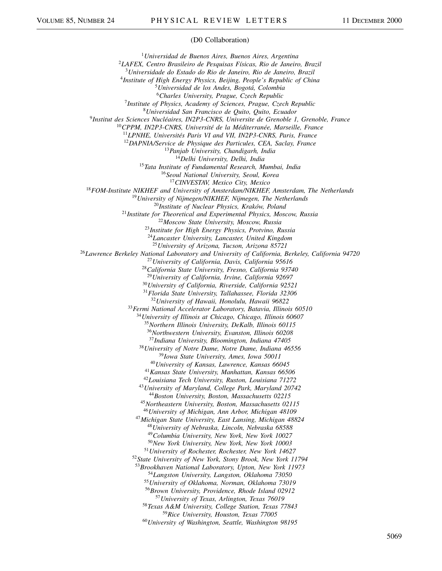## (D0 Collaboration)

*Universidad de Buenos Aires, Buenos Aires, Argentina LAFEX, Centro Brasileiro de Pesquisas Físicas, Rio de Janeiro, Brazil Universidade do Estado do Rio de Janeiro, Rio de Janeiro, Brazil Institute of High Energy Physics, Beijing, People's Republic of China Universidad de los Andes, Bogotá, Colombia Charles University, Prague, Czech Republic Institute of Physics, Academy of Sciences, Prague, Czech Republic Universidad San Francisco de Quito, Quito, Ecuador Institut des Sciences Nucléaires, IN2P3-CNRS, Universite de Grenoble 1, Grenoble, France CPPM, IN2P3-CNRS, Université de la Méditerranée, Marseille, France LPNHE, Universités Paris VI and VII, IN2P3-CNRS, Paris, France DAPNIA/Service de Physique des Particules, CEA, Saclay, France Panjab University, Chandigarh, India Delhi University, Delhi, India Tata Institute of Fundamental Research, Mumbai, India Seoul National University, Seoul, Korea CINVESTAV, Mexico City, Mexico FOM-Institute NIKHEF and University of Amsterdam/NIKHEF, Amsterdam, The Netherlands University of Nijmegen/NIKHEF, Nijmegen, The Netherlands Institute of Nuclear Physics, Kraków, Poland Institute for Theoretical and Experimental Physics, Moscow, Russia Moscow State University, Moscow, Russia Institute for High Energy Physics, Protvino, Russia Lancaster University, Lancaster, United Kingdom University of Arizona, Tucson, Arizona 85721 Lawrence Berkeley National Laboratory and University of California, Berkeley, California 94720 University of California, Davis, California 95616 California State University, Fresno, California 93740 University of California, Irvine, California 92697 University of California, Riverside, California 92521 Florida State University, Tallahassee, Florida 32306 University of Hawaii, Honolulu, Hawaii 96822 Fermi National Accelerator Laboratory, Batavia, Illinois 60510 University of Illinois at Chicago, Chicago, Illinois 60607 Northern Illinois University, DeKalb, Illinois 60115 Northwestern University, Evanston, Illinois 60208 Indiana University, Bloomington, Indiana 47405 University of Notre Dame, Notre Dame, Indiana 46556 Iowa State University, Ames, Iowa 50011 University of Kansas, Lawrence, Kansas 66045 Kansas State University, Manhattan, Kansas 66506 Louisiana Tech University, Ruston, Louisiana 71272 University of Maryland, College Park, Maryland 20742 Boston University, Boston, Massachusetts 02215 Northeastern University, Boston, Massachusetts 02115 University of Michigan, Ann Arbor, Michigan 48109 Michigan State University, East Lansing, Michigan 48824 University of Nebraska, Lincoln, Nebraska 68588 Columbia University, New York, New York 10027 New York University, New York, New York 10003 University of Rochester, Rochester, New York 14627 State University of New York, Stony Brook, New York 11794 Brookhaven National Laboratory, Upton, New York 11973 Langston University, Langston, Oklahoma 73050 University of Oklahoma, Norman, Oklahoma 73019 Brown University, Providence, Rhode Island 02912 University of Texas, Arlington, Texas 76019 Texas A&M University, College Station, Texas 77843 Rice University, Houston, Texas 77005 University of Washington, Seattle, Washington 98195*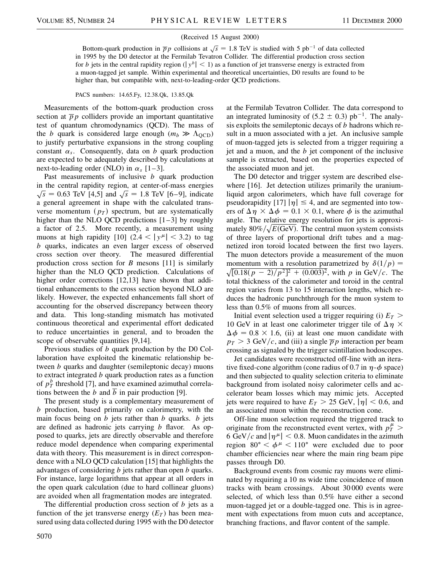## (Received 15 August 2000)

Bottom-quark production in  $\overline{p}p$  collisions at  $\sqrt{s}$  = 1.8 TeV is studied with 5 pb<sup>-1</sup> of data collected in 1995 by the D0 detector at the Fermilab Tevatron Collider. The differential production cross section for *b* jets in the central rapidity region ( $|y^b| < 1$ ) as a function of jet transverse energy is extracted from a muon-tagged jet sample. Within experimental and theoretical uncertainties, D0 results are found to be higher than, but compatible with, next-to-leading-order QCD predictions.

## PACS numbers: 14.65.Fy, 12.38.Qk, 13.85.Qk

Measurements of the bottom-quark production cross section at  $\overline{p}p$  colliders provide an important quantitative test of quantum chromodynamics (QCD). The mass of the *b* quark is considered large enough  $(m_b \gg \Lambda_{\text{QCD}})$ to justify perturbative expansions in the strong coupling constant  $\alpha_s$ . Consequently, data on *b* quark production are expected to be adequately described by calculations at next-to-leading order (NLO) in  $\alpha_s$  [1–3].

Past measurements of inclusive *b* quark production in the central rapidity region, at center-of-mass energies  $\sqrt{s}$  = 0.63 TeV [4,5] and  $\sqrt{s}$  = 1.8 TeV [6–9], indicate a general agreement in shape with the calculated transverse momentum  $(p_T)$  spectrum, but are systematically higher than the NLO QCD predictions  $[1-3]$  by roughly a factor of 2.5. More recently, a measurement using muons at high rapidity [10]  $(2.4 < |y^{\mu}| < 3.2)$  to tag *b* quarks, indicates an even larger excess of observed cross section over theory. The measured differential production cross section for *B* mesons [11] is similarly higher than the NLO QCD prediction. Calculations of higher order corrections [12,13] have shown that additional enhancements to the cross section beyond NLO are likely. However, the expected enhancements fall short of accounting for the observed discrepancy between theory and data. This long-standing mismatch has motivated continuous theoretical and experimental effort dedicated to reduce uncertainties in general, and to broaden the scope of observable quantities [9,14].

Previous studies of *b* quark production by the D0 Collaboration have exploited the kinematic relationship between *b* quarks and daughter (semileptonic decay) muons to extract integrated *b* quark production rates as a function of  $p_T^b$  threshold [7], and have examined azimuthal correlations between the *b* and  $\overline{b}$  in pair production [9].

The present study is a complementary measurement of *b* production, based primarily on calorimetry, with the main focus being on *b* jets rather than *b* quarks. *b* jets are defined as hadronic jets carrying *b* flavor. As opposed to quarks, jets are directly observable and therefore reduce model dependence when comparing experimental data with theory. This measurement is in direct correspondence with a NLO QCD calculation [15] that highlights the advantages of considering *b* jets rather than open *b* quarks. For instance, large logarithms that appear at all orders in the open quark calculation (due to hard collinear gluons) are avoided when all fragmentation modes are integrated.

The differential production cross section of *b* jets as a function of the jet transverse energy  $(E_T)$  has been measured using data collected during 1995 with the D0 detector

at the Fermilab Tevatron Collider. The data correspond to an integrated luminosity of  $(5.2 \pm 0.3)$  pb<sup>-1</sup>. The analysis exploits the semileptonic decays of *b* hadrons which result in a muon associated with a jet. An inclusive sample of muon-tagged jets is selected from a trigger requiring a jet and a muon, and the *b* jet component of the inclusive sample is extracted, based on the properties expected of the associated muon and jet.

The D0 detector and trigger system are described elsewhere [16]. Jet detection utilizes primarily the uraniumliquid argon calorimeters, which have full coverage for pseudorapidity [17]  $|\eta| \leq 4$ , and are segmented into towers of  $\Delta \eta \times \Delta \phi = 0.1 \times 0.1$ , where  $\phi$  is the azimuthal angle. The relative energy resolution for jets is approximately  $20\%$  /  $\sqrt{E(G,N)}$ . The control wave proton consistent mately  $80\% / \sqrt{E(\text{GeV})}$ . The central muon system consists of three layers of proportional drift tubes and a magnetized iron toroid located between the first two layers. The muon detectors provide a measurement of the muon momentum with a resolution parametrized by  $\delta(1/p)$  =  $\sqrt{[0.18(p-2)/p^2]^2 + (0.003)^2}$ , with *p* in GeV/*c*. The total thickness of the calorimeter and toroid in the central region varies from 13 to 15 interaction lengths, which reduces the hadronic punchthrough for the muon system to less than 0.5% of muons from all sources.

Initial event selection used a trigger requiring (i)  $E_T$  > 10 GeV in at least one calorimeter trigger tile of  $\Delta \eta \times$  $\Delta \phi = 0.8 \times 1.6$ , (ii) at least one muon candidate with  $p_T > 3$  GeV/c, and (iii) a single  $\overline{p}p$  interaction per beam crossing as signaled by the trigger scintillation hodoscopes.

Jet candidates were reconstructed off-line with an iterative fixed-cone algorithm (cone radius of 0.7 in  $\eta$ - $\phi$  space) and then subjected to quality selection criteria to eliminate background from isolated noisy calorimeter cells and accelerator beam losses which may mimic jets. Accepted jets were required to have  $E_T > 25$  GeV,  $|\eta| < 0.6$ , and an associated muon within the reconstruction cone.

Off-line muon selection required the triggered track to originate from the reconstructed event vertex, with  $p_T^{\mu}$  > 6 GeV/c and  $|\eta^{\mu}| < 0.8$ . Muon candidates in the azimuth region  $80^{\circ} < \phi^{\mu} < 110^{\circ}$  were excluded due to poor chamber efficiencies near where the main ring beam pipe passes through D0.

Background events from cosmic ray muons were eliminated by requiring a 10 ns wide time coincidence of muon tracks with beam crossings. About 30 000 events were selected, of which less than 0.5% have either a second muon-tagged jet or a double-tagged one. This is in agreement with expectations from muon cuts and acceptance, branching fractions, and flavor content of the sample.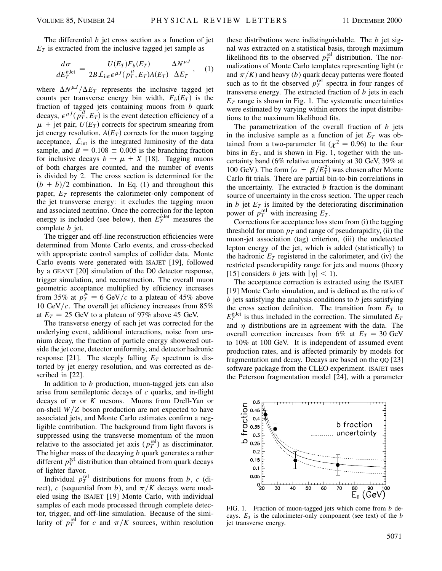The differential *b* jet cross section as a function of jet  $E_T$  is extracted from the inclusive tagged jet sample as

$$
\frac{d\sigma}{dE_T^{b\text{Jet}}} = \frac{U(E_T)F_b(E_T)}{2B\mathcal{L}_{\text{int}}\epsilon^{\mu J}(p_T^{\mu}, E_T)A(E_T)} \frac{\Delta N^{\mu J}}{\Delta E_T}, \quad (1)
$$

where  $\Delta N^{\mu J}/\Delta E_T$  represents the inclusive tagged jet counts per transverse energy bin width,  $F_b(E_T)$  is the fraction of tagged jets containing muons from *b* quark decays,  $\epsilon^{\mu J}(\vec{p}_T^{\mu}, E_T)$  is the event detection efficiency of a  $\mu$  + jet pair,  $U(E_T)$  corrects for spectrum smearing from jet energy resolution,  $A(E_T)$  corrects for the muon tagging acceptance,  $\mathcal{L}_{int}$  is the integrated luminosity of the data sample, and  $B = 0.108 \pm 0.005$  is the branching fraction for inclusive decays  $b \rightarrow \mu + X$  [18]. Tagging muons of both charges are counted, and the number of events is divided by 2. The cross section is determined for the  $(b + \bar{b})/2$  combination. In Eq. (1) and throughout this paper,  $E_T$  represents the calorimeter-only component of the jet transverse energy: it excludes the tagging muon and associated neutrino. Once the correction for the lepton energy is included (see below), then  $E_T^{b \text{Jet}}$  measures the complete *b* jet.

The trigger and off-line reconstruction efficiencies were determined from Monte Carlo events, and cross-checked with appropriate control samples of collider data. Monte Carlo events were generated with ISAJET [19], followed by a GEANT [20] simulation of the D0 detector response, trigger simulation, and reconstruction. The overall muon geometric acceptance multiplied by efficiency increases from 35% at  $p_T^{\mu} = 6 \text{ GeV}/c$  to a plateau of 45% above 10 GeV*c*. The overall jet efficiency increases from 85% at  $E_T = 25$  GeV to a plateau of 97% above 45 GeV.

The transverse energy of each jet was corrected for the underlying event, additional interactions, noise from uranium decay, the fraction of particle energy showered outside the jet cone, detector uniformity, and detector hadronic response [21]. The steeply falling  $E_T$  spectrum is distorted by jet energy resolution, and was corrected as described in [22].

In addition to *b* production, muon-tagged jets can also arise from semileptonic decays of *c* quarks, and in-flight decays of  $\pi$  or *K* mesons. Muons from Drell-Yan or on-shell  $W/Z$  boson production are not expected to have associated jets, and Monte Carlo estimates confirm a negligible contribution. The background from light flavors is suppressed using the transverse momentum of the muon relative to the associated jet axis  $(p_T^{\text{rel}})$  as discriminator. The higher mass of the decaying *b* quark generates a rather different  $p_T^{\text{rel}}$  distribution than obtained from quark decays of lighter flavor.

Individual  $p_T^{\text{rel}}$  distributions for muons from *b*, *c* (direct), *c* (sequential from *b*), and  $\pi/K$  decays were modeled using the ISAJET [19] Monte Carlo, with individual samples of each mode processed through complete detector, trigger, and off-line simulation. Because of the similarity of  $p_T^{\text{rel}}$  for *c* and  $\pi/K$  sources, within resolution

these distributions were indistinguishable. The *b* jet signal was extracted on a statistical basis, through maximum likelihood fits to the observed  $p_T^{\text{rel}}$  distribution. The normalizations of Monte Carlo templates representing light (*c* and  $\pi/K$ ) and heavy (*b*) quark decay patterns were floated such as to fit the observed  $p_T^{\text{rel}}$  spectra in four ranges of transverse energy. The extracted fraction of *b* jets in each  $E_T$  range is shown in Fig. 1. The systematic uncertainties were estimated by varying within errors the input distributions to the maximum likelihood fits.

The parametrization of the overall fraction of *b* jets in the inclusive sample as a function of jet  $E_T$  was obtained from a two-parameter fit ( $\chi^2 = 0.96$ ) to the four bins in  $E_T$ , and is shown in Fig. 1, together with the uncertainty band (6% relative uncertainty at 30 GeV, 39% at 100 GeV). The form  $(\alpha + \beta/E_T^2)$  was chosen after Monte Carlo fit trials. There are partial bin-to-bin correlations in the uncertainty. The extracted *b* fraction is the dominant source of uncertainty in the cross section. The upper reach in  $b$  jet  $E_T$  is limited by the deteriorating discrimination power of  $p_T^{\text{rel}}$  with increasing  $E_T$ .

Corrections for acceptance loss stem from (i) the tagging threshold for muon  $p<sub>T</sub>$  and range of pseudorapidity, (ii) the muon-jet association (tag) criterion, (iii) the undetected lepton energy of the jet, which is added (statistically) to the hadronic  $E_T$  registered in the calorimeter, and (iv) the restricted pseudorapidity range for jets and muons (theory [15] considers *b* jets with  $|\eta| < 1$ ).

The acceptance correction is extracted using the ISAJET [19] Monte Carlo simulation, and is defined as the ratio of *b* jets satisfying the analysis conditions to *b* jets satisfying the cross section definition. The transition from  $E_T$  to  $E_T^{b\text{Jet}}$  is thus included in the correction. The simulated  $E_T$ and  $\eta$  distributions are in agreement with the data. The overall correction increases from 6% at  $E_T = 30$  GeV to 10% at 100 GeV. It is independent of assumed event production rates, and is affected primarily by models for fragmentation and decay. Decays are based on the QQ [23] software package from the CLEO experiment. ISAJET uses the Peterson fragmentation model [24], with a parameter



FIG. 1. Fraction of muon-tagged jets which come from *b* decays.  $E_T$  is the calorimeter-only component (see text) of the *b* jet transverse energy.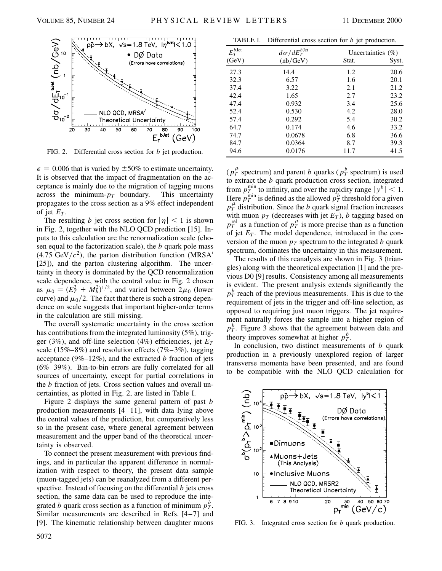

FIG. 2. Differential cross section for *b* jet production.

 $\epsilon$  = 0.006 that is varied by  $\pm 50\%$  to estimate uncertainty. It is observed that the impact of fragmentation on the acceptance is mainly due to the migration of tagging muons across the minimum- $p_T$  boundary. This uncertainty propagates to the cross section as a 9% effect independent of jet  $E_T$ .

The resulting *b* jet cross section for  $|\eta| < 1$  is shown in Fig. 2, together with the NLO QCD prediction [15]. Inputs to this calculation are the renormalization scale (chosen equal to the factorization scale), the *b* quark pole mass  $(4.75 \text{ GeV}/c^2)$ , the parton distribution function (MRSA<sup>1</sup>) [25]), and the parton clustering algorithm. The uncertainty in theory is dominated by the QCD renormalization scale dependence, with the central value in Fig. 2 chosen as  $\mu_0 = (E_T^2 + M_b^2)^{1/2}$ , and varied between  $2\mu_0$  (lower curve) and  $\mu_0/2$ . The fact that there is such a strong dependence on scale suggests that important higher-order terms in the calculation are still missing.

The overall systematic uncertainty in the cross section has contributions from the integrated luminosity (5%), trigger (3%), and off-line selection (4%) efficiencies, jet  $E_T$ scale (15%–8%) and resolution effects (7%–3%), tagging acceptance (9%–12%), and the extracted *b* fraction of jets (6%–39%). Bin-to-bin errors are fully correlated for all sources of uncertainty, except for partial correlations in the *b* fraction of jets. Cross section values and overall uncertainties, as plotted in Fig. 2, are listed in Table I.

Figure 2 displays the same general pattern of past *b* production measurements [4–11], with data lying above the central values of the prediction, but comparatively less so in the present case, where general agreement between measurement and the upper band of the theoretical uncertainty is observed.

To connect the present measurement with previous findings, and in particular the apparent difference in normalization with respect to theory, the present data sample (muon-tagged jets) can be reanalyzed from a different perspective. Instead of focusing on the differential *b* jets cross section, the same data can be used to reproduce the integrated *b* quark cross section as a function of minimum  $p_T^b$ . Similar measurements are described in Refs. [4–7] and [9]. The kinematic relationship between daughter muons

|                    | TABLE I. Differential cross section for $b$ jet production. |       |                      |  |
|--------------------|-------------------------------------------------------------|-------|----------------------|--|
| $E_T^{b\,\rm Jet}$ | $d\sigma/dE_{T}^{b\,\rm Jet}$                               |       | Uncertainties $(\%)$ |  |
| (GeV)              | (nb/GeV)                                                    | Stat. | Syst.                |  |
| 27.3               | 14.4                                                        | 1.2   | 20.6                 |  |
| 32.3               | 6.57                                                        | 1.6   | 20.1                 |  |
| 37.4               | 3.22                                                        | 2.1   | 21.2                 |  |
| 42.4               | 1.65                                                        | 2.7   | 23.2                 |  |
| 47.4               | 0.932                                                       | 3.4   | 25.6                 |  |
| 52.4               | 0.530                                                       | 4.2   | 28.0                 |  |
| 57.4               | 0.292                                                       | 5.4   | 30.2                 |  |
| 64.7               | 0.174                                                       | 4.6   | 33.2                 |  |
| 74.7               | 0.0678                                                      | 6.8   | 36.6                 |  |
| 84.7               | 0.0364                                                      | 8.7   | 39.3                 |  |
| 94.6               | 0.0176                                                      | 11.7  | 41.5                 |  |

( $p_T^{\mu}$  spectrum) and parent *b* quarks ( $p_T^b$  spectrum) is used to extract the *b* quark production cross section, integrated from  $p_T^{\min}$  to infinity, and over the rapidity range  $|y^b| < 1$ . Here  $p_T^{\text{min}}$  is defined as the allowed  $p_T^b$  threshold for a given  $p_T^{\mu\nu}$  distribution. Since the *b* quark signal fraction increases with muon  $p_T$  (decreases with jet  $E_T$ ), *b* tagging based on  $p_T^{\text{rel}}$  as a function of  $p_T^{\mu}$  is more precise than as a function of jet  $E_T$ . The model dependence, introduced in the conversion of the muon  $p<sub>T</sub>$  spectrum to the integrated *b* quark spectrum, dominates the uncertainty in this measurement.

The results of this reanalysis are shown in Fig. 3 (triangles) along with the theoretical expectation [1] and the previous D0 [9] results. Consistency among all measurements is evident. The present analysis extends significantly the  $p_T^b$  reach of the previous measurements. This is due to the requirement of jets in the trigger and off-line selection, as opposed to requiring just muon triggers. The jet requirement naturally forces the sample into a higher region of  $p_T^b$ . Figure 3 shows that the agreement between data and theory improves somewhat at higher  $p_T^b$ .

In conclusion, two distinct measurements of *b* quark production in a previously unexplored region of larger transverse momenta have been presented, and are found to be compatible with the NLO QCD calculation for



FIG. 3. Integrated cross section for *b* quark production.